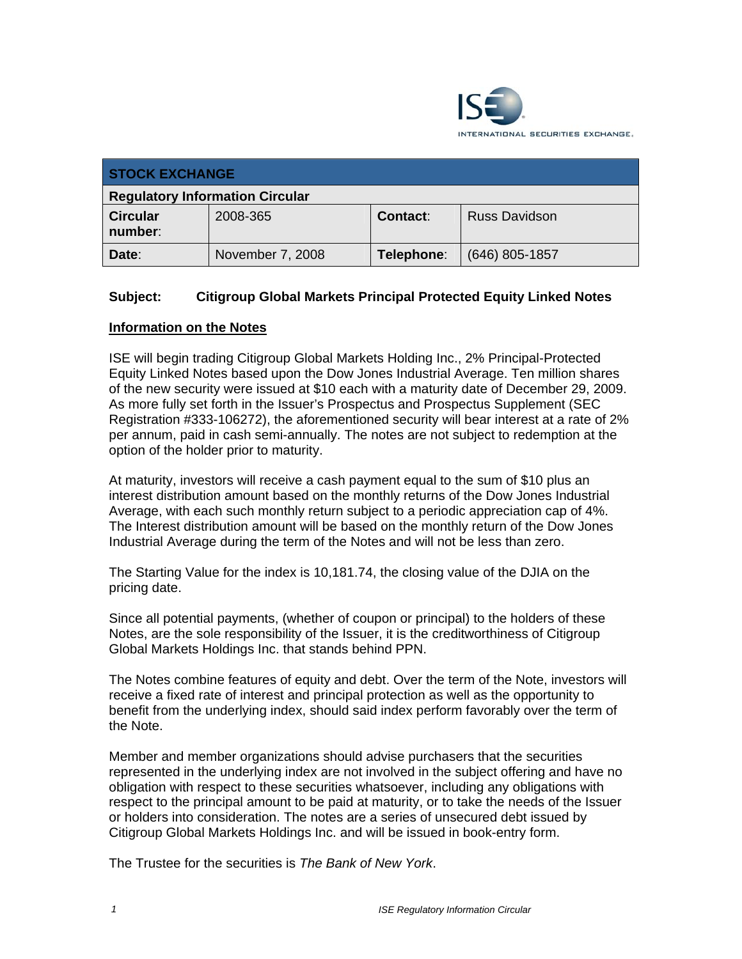

| <b>STOCK EXCHANGE</b>                  |                  |            |                      |  |
|----------------------------------------|------------------|------------|----------------------|--|
| <b>Regulatory Information Circular</b> |                  |            |                      |  |
| <b>Circular</b><br>number:             | 2008-365         | Contact:   | <b>Russ Davidson</b> |  |
| Date:                                  | November 7, 2008 | Telephone: | $(646)$ 805-1857     |  |

## **Subject: Citigroup Global Markets Principal Protected Equity Linked Notes**

## **Information on the Notes**

ISE will begin trading Citigroup Global Markets Holding Inc., 2% Principal-Protected Equity Linked Notes based upon the Dow Jones Industrial Average. Ten million shares of the new security were issued at \$10 each with a maturity date of December 29, 2009. As more fully set forth in the Issuer's Prospectus and Prospectus Supplement (SEC Registration #333-106272), the aforementioned security will bear interest at a rate of 2% per annum, paid in cash semi-annually. The notes are not subject to redemption at the option of the holder prior to maturity.

At maturity, investors will receive a cash payment equal to the sum of \$10 plus an interest distribution amount based on the monthly returns of the Dow Jones Industrial Average, with each such monthly return subject to a periodic appreciation cap of 4%. The Interest distribution amount will be based on the monthly return of the Dow Jones Industrial Average during the term of the Notes and will not be less than zero.

The Starting Value for the index is 10,181.74, the closing value of the DJIA on the pricing date.

Since all potential payments, (whether of coupon or principal) to the holders of these Notes, are the sole responsibility of the Issuer, it is the creditworthiness of Citigroup Global Markets Holdings Inc. that stands behind PPN.

The Notes combine features of equity and debt. Over the term of the Note, investors will receive a fixed rate of interest and principal protection as well as the opportunity to benefit from the underlying index, should said index perform favorably over the term of the Note.

Member and member organizations should advise purchasers that the securities represented in the underlying index are not involved in the subject offering and have no obligation with respect to these securities whatsoever, including any obligations with respect to the principal amount to be paid at maturity, or to take the needs of the Issuer or holders into consideration. The notes are a series of unsecured debt issued by Citigroup Global Markets Holdings Inc. and will be issued in book-entry form.

The Trustee for the securities is *The Bank of New York*.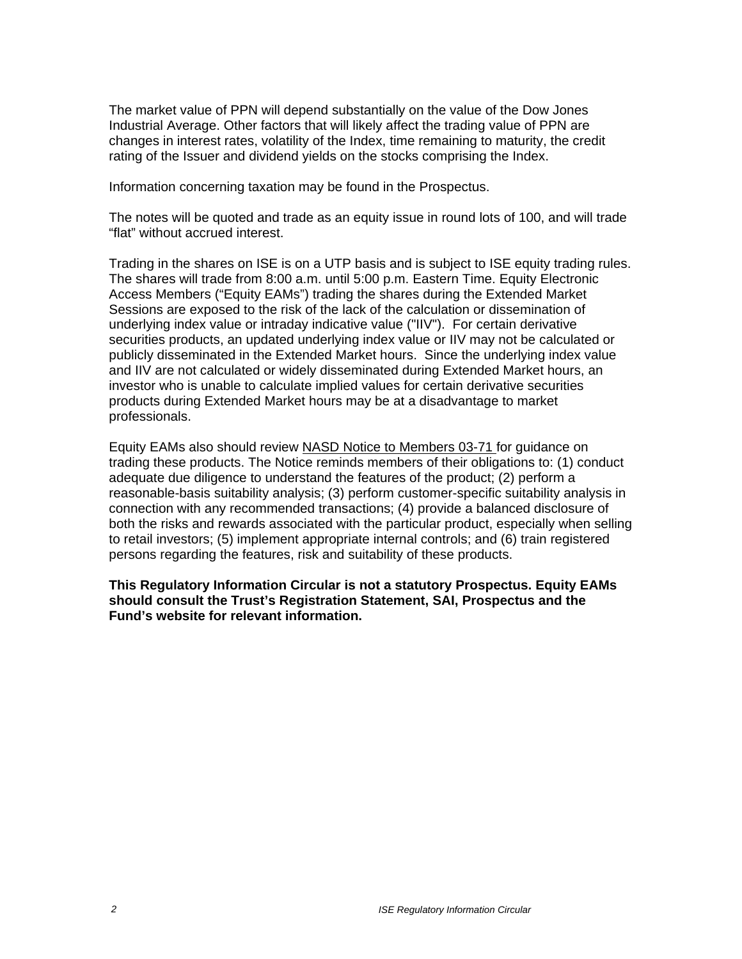The market value of PPN will depend substantially on the value of the Dow Jones Industrial Average. Other factors that will likely affect the trading value of PPN are changes in interest rates, volatility of the Index, time remaining to maturity, the credit rating of the Issuer and dividend yields on the stocks comprising the Index.

Information concerning taxation may be found in the Prospectus.

The notes will be quoted and trade as an equity issue in round lots of 100, and will trade "flat" without accrued interest.

Trading in the shares on ISE is on a UTP basis and is subject to ISE equity trading rules. The shares will trade from 8:00 a.m. until 5:00 p.m. Eastern Time. Equity Electronic Access Members ("Equity EAMs") trading the shares during the Extended Market Sessions are exposed to the risk of the lack of the calculation or dissemination of underlying index value or intraday indicative value ("IIV"). For certain derivative securities products, an updated underlying index value or IIV may not be calculated or publicly disseminated in the Extended Market hours. Since the underlying index value and IIV are not calculated or widely disseminated during Extended Market hours, an investor who is unable to calculate implied values for certain derivative securities products during Extended Market hours may be at a disadvantage to market professionals.

Equity EAMs also should review NASD Notice to Members 03-71 for guidance on trading these products. The Notice reminds members of their obligations to: (1) conduct adequate due diligence to understand the features of the product; (2) perform a reasonable-basis suitability analysis; (3) perform customer-specific suitability analysis in connection with any recommended transactions; (4) provide a balanced disclosure of both the risks and rewards associated with the particular product, especially when selling to retail investors; (5) implement appropriate internal controls; and (6) train registered persons regarding the features, risk and suitability of these products.

**This Regulatory Information Circular is not a statutory Prospectus. Equity EAMs should consult the Trust's Registration Statement, SAI, Prospectus and the Fund's website for relevant information.**